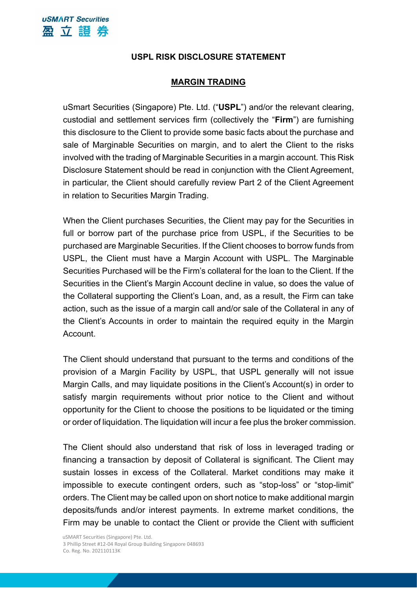## **USPL RISK DISCLOSURE STATEMENT**

## **MARGIN TRADING**

uSmart Securities (Singapore) Pte. Ltd. ("**USPL**") and/or the relevant clearing, custodial and settlement services firm (collectively the "**Firm**") are furnishing this disclosure to the Client to provide some basic facts about the purchase and sale of Marginable Securities on margin, and to alert the Client to the risks involved with the trading of Marginable Securities in a margin account. This Risk Disclosure Statement should be read in conjunction with the Client Agreement, in particular, the Client should carefully review Part 2 of the Client Agreement in relation to Securities Margin Trading.

When the Client purchases Securities, the Client may pay for the Securities in full or borrow part of the purchase price from USPL, if the Securities to be purchased are Marginable Securities. If the Client chooses to borrow funds from USPL, the Client must have a Margin Account with USPL. The Marginable Securities Purchased will be the Firm's collateral for the loan to the Client. If the Securities in the Client's Margin Account decline in value, so does the value of the Collateral supporting the Client's Loan, and, as a result, the Firm can take action, such as the issue of a margin call and/or sale of the Collateral in any of the Client's Accounts in order to maintain the required equity in the Margin **Account** 

The Client should understand that pursuant to the terms and conditions of the provision of a Margin Facility by USPL, that USPL generally will not issue Margin Calls, and may liquidate positions in the Client's Account(s) in order to satisfy margin requirements without prior notice to the Client and without opportunity for the Client to choose the positions to be liquidated or the timing or order of liquidation. The liquidation will incur a fee plus the broker commission.

The Client should also understand that risk of loss in leveraged trading or financing a transaction by deposit of Collateral is significant. The Client may sustain losses in excess of the Collateral. Market conditions may make it impossible to execute contingent orders, such as "stop-loss" or "stop-limit" orders. The Client may be called upon on short notice to make additional margin deposits/funds and/or interest payments. In extreme market conditions, the Firm may be unable to contact the Client or provide the Client with sufficient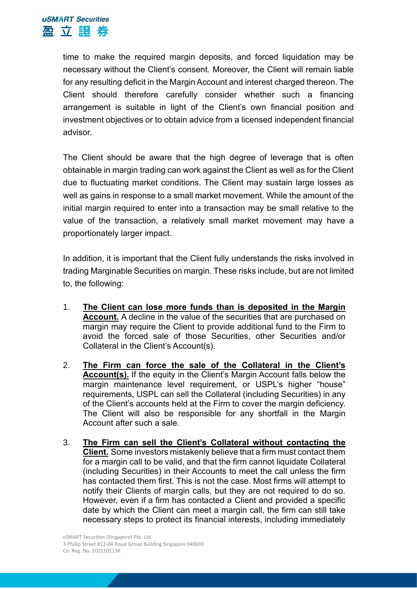time to make the required margin deposits, and forced liquidation may be necessary without the Client's consent. Moreover, the Client will remain liable for any resulting deficit in the Margin Account and interest charged thereon. The Client should therefore carefully consider whether such a financing arrangement is suitable in light of the Client's own financial position and investment objectives or to obtain advice from a licensed independent financial advisor.

The Client should be aware that the high degree of leverage that is often obtainable in margin trading can work against the Client as well as for the Client due to fluctuating market conditions. The Client may sustain large losses as well as gains in response to a small market movement. While the amount of the initial margin required to enter into a transaction may be small relative to the value of the transaction, a relatively small market movement may have a proportionately larger impact.

In addition, it is important that the Client fully understands the risks involved in trading Marginable Securities on margin. These risks include, but are not limited to, the following:

- 1. **The Client can lose more funds than is deposited in the Margin Account.** A decline in the value of the securities that are purchased on margin may require the Client to provide additional fund to the Firm to avoid the forced sale of those Securities, other Securities and/or Collateral in the Client's Account(s).
- 2. **The Firm can force the sale of the Collateral in the Client's Account(s).** If the equity in the Client's Margin Account falls below the margin maintenance level requirement, or USPL's higher "house" requirements, USPL can sell the Collateral (including Securities) in any of the Client's accounts held at the Firm to cover the margin deficiency. The Client will also be responsible for any shortfall in the Margin Account after such a sale.
- 3. **The Firm can sell the Client's Collateral without contacting the Client.** Some investors mistakenly believe that a firm must contact them for a margin call to be valid, and that the firm cannot liquidate Collateral (including Securities) in their Accounts to meet the call unless the firm has contacted them first. This is not the case. Most firms will attempt to notify their Clients of margin calls, but they are not required to do so. However, even if a firm has contacted a Client and provided a specific date by which the Client can meet a margin call, the firm can still take necessary steps to protect its financial interests, including immediately